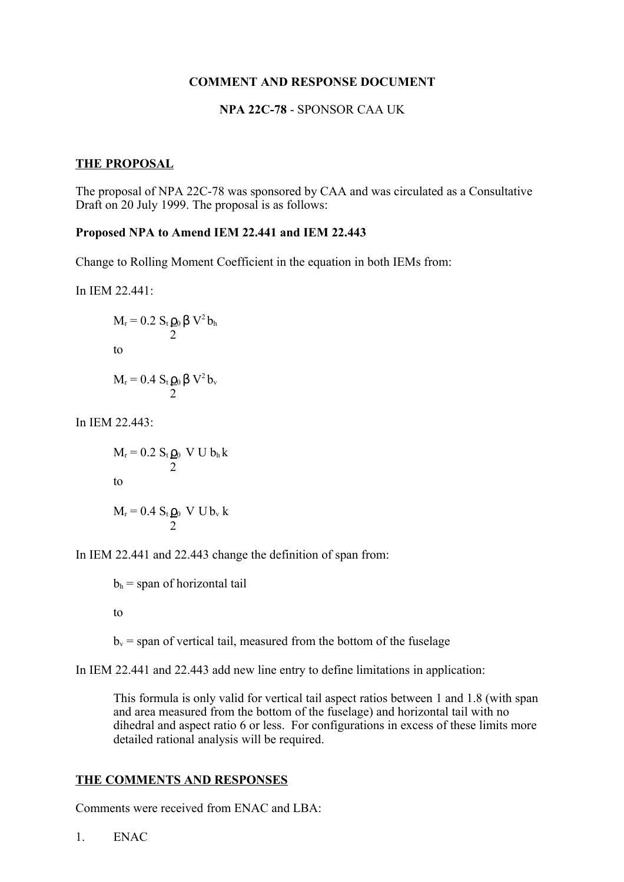# **COMMENT AND RESPONSE DOCUMENT**

# **NPA 22C-78** - SPONSOR CAA UK

### **THE PROPOSAL**

The proposal of NPA 22C-78 was sponsored by CAA and was circulated as a Consultative Draft on 20 July 1999. The proposal is as follows:

#### **Proposed NPA to Amend IEM 22.441 and IEM 22.443**

Change to Rolling Moment Coefficient in the equation in both IEMs from:

In IEM 22.441:

$$
M_r = 0.2 S_t \rho_0 \beta V^2 b_h
$$
  
to  

$$
M_r = 0.4 S_t \rho_0 \beta V^2 b_v
$$
  

$$
\frac{1}{2}
$$

In IEM 22.443:

$$
M_r = 0.2 S_t \rho_0 \text{ V U b}_h \text{ k}
$$
  
to  

$$
M_r = 0.4 S_t \rho_0 \text{ V U b}_v \text{ k}
$$

In IEM 22.441 and 22.443 change the definition of span from:

 $b_h$  = span of horizontal tail

to

 $b<sub>v</sub>$  = span of vertical tail, measured from the bottom of the fuselage

In IEM 22.441 and 22.443 add new line entry to define limitations in application:

This formula is only valid for vertical tail aspect ratios between 1 and 1.8 (with span and area measured from the bottom of the fuselage) and horizontal tail with no dihedral and aspect ratio 6 or less. For configurations in excess of these limits more detailed rational analysis will be required.

### **THE COMMENTS AND RESPONSES**

Comments were received from ENAC and LBA:

1. ENAC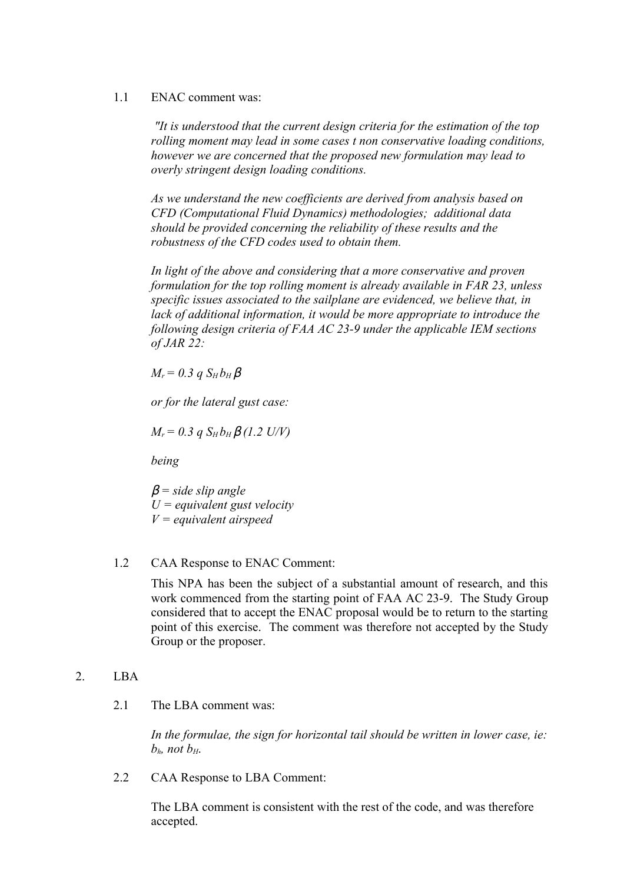# 1.1 ENAC comment was:

 *"It is understood that the current design criteria for the estimation of the top rolling moment may lead in some cases t non conservative loading conditions, however we are concerned that the proposed new formulation may lead to overly stringent design loading conditions.*

*As we understand the new coefficients are derived from analysis based on CFD (Computational Fluid Dynamics) methodologies; additional data should be provided concerning the reliability of these results and the robustness of the CFD codes used to obtain them.*

*In light of the above and considering that a more conservative and proven formulation for the top rolling moment is already available in FAR 23, unless specific issues associated to the sailplane are evidenced, we believe that, in lack of additional information, it would be more appropriate to introduce the following design criteria of FAA AC 23-9 under the applicable IEM sections of JAR 22:*

 $M_r = 0.3$   $qS_H b_H \beta$ 

*or for the lateral gust case:*

 $M_r = 0.3$  *q*  $S_H b_H \beta$  (1.2 U/V)

*being*

β *= side slip angle U = equivalent gust velocity V = equivalent airspeed*

1.2 CAA Response to ENAC Comment:

This NPA has been the subject of a substantial amount of research, and this work commenced from the starting point of FAA AC 23-9. The Study Group considered that to accept the ENAC proposal would be to return to the starting point of this exercise. The comment was therefore not accepted by the Study Group or the proposer.

# 2. LBA

2.1 The LBA comment was:

*In the formulae, the sign for horizontal tail should be written in lower case, ie:*  $b<sub>h</sub>$ *not*  $b<sub>H</sub>$ *n*.

2.2 CAA Response to LBA Comment:

The LBA comment is consistent with the rest of the code, and was therefore accepted.